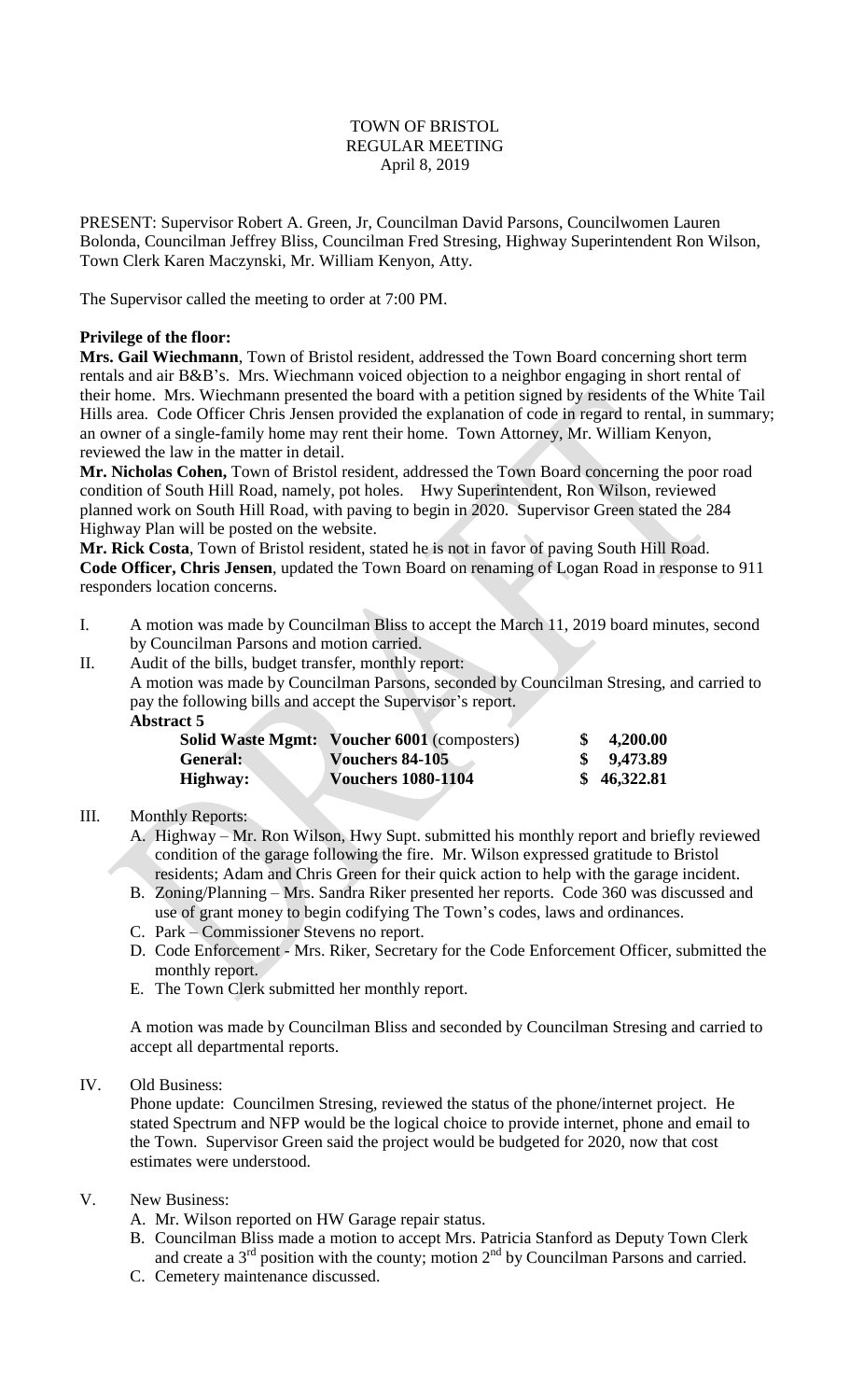## TOWN OF BRISTOL REGULAR MEETING April 8, 2019

PRESENT: Supervisor Robert A. Green, Jr, Councilman David Parsons, Councilwomen Lauren Bolonda, Councilman Jeffrey Bliss, Councilman Fred Stresing, Highway Superintendent Ron Wilson, Town Clerk Karen Maczynski, Mr. William Kenyon, Atty.

The Supervisor called the meeting to order at 7:00 PM.

### **Privilege of the floor:**

**Mrs. Gail Wiechmann**, Town of Bristol resident, addressed the Town Board concerning short term rentals and air B&B's. Mrs. Wiechmann voiced objection to a neighbor engaging in short rental of their home. Mrs. Wiechmann presented the board with a petition signed by residents of the White Tail Hills area. Code Officer Chris Jensen provided the explanation of code in regard to rental, in summary; an owner of a single-family home may rent their home. Town Attorney, Mr. William Kenyon, reviewed the law in the matter in detail.

**Mr. Nicholas Cohen,** Town of Bristol resident, addressed the Town Board concerning the poor road condition of South Hill Road, namely, pot holes. Hwy Superintendent, Ron Wilson, reviewed planned work on South Hill Road, with paving to begin in 2020. Supervisor Green stated the 284 Highway Plan will be posted on the website.

**Mr. Rick Costa**, Town of Bristol resident, stated he is not in favor of paving South Hill Road. **Code Officer, Chris Jensen**, updated the Town Board on renaming of Logan Road in response to 911 responders location concerns.

- I. A motion was made by Councilman Bliss to accept the March 11, 2019 board minutes, second by Councilman Parsons and motion carried.
- II. Audit of the bills, budget transfer, monthly report:
	- A motion was made by Councilman Parsons, seconded by Councilman Stresing, and carried to pay the following bills and accept the Supervisor's report.
		- **Abstract 5**

| <b>Solid Waste Mgmt:</b> | Voucher 6001 (composters) | 4,200.00    |
|--------------------------|---------------------------|-------------|
| <b>General:</b>          | Vouchers 84-105           | 9,473.89    |
| Highway:                 | <b>Vouchers 1080-1104</b> | \$46,322.81 |

### III. Monthly Reports:

- A. Highway Mr. Ron Wilson, Hwy Supt. submitted his monthly report and briefly reviewed condition of the garage following the fire. Mr. Wilson expressed gratitude to Bristol residents; Adam and Chris Green for their quick action to help with the garage incident.
- B. Zoning/Planning Mrs. Sandra Riker presented her reports. Code 360 was discussed and use of grant money to begin codifying The Town's codes, laws and ordinances.
- C. Park Commissioner Stevens no report.
- D. Code Enforcement Mrs. Riker, Secretary for the Code Enforcement Officer, submitted the monthly report.
- E. The Town Clerk submitted her monthly report.

A motion was made by Councilman Bliss and seconded by Councilman Stresing and carried to accept all departmental reports.

# IV. Old Business:

Phone update: Councilmen Stresing, reviewed the status of the phone/internet project. He stated Spectrum and NFP would be the logical choice to provide internet, phone and email to the Town. Supervisor Green said the project would be budgeted for 2020, now that cost estimates were understood.

### V. New Business:

- A. Mr. Wilson reported on HW Garage repair status.
- B. Councilman Bliss made a motion to accept Mrs. Patricia Stanford as Deputy Town Clerk and create a  $3<sup>rd</sup>$  position with the county; motion  $2<sup>nd</sup>$  by Councilman Parsons and carried.
- C. Cemetery maintenance discussed.